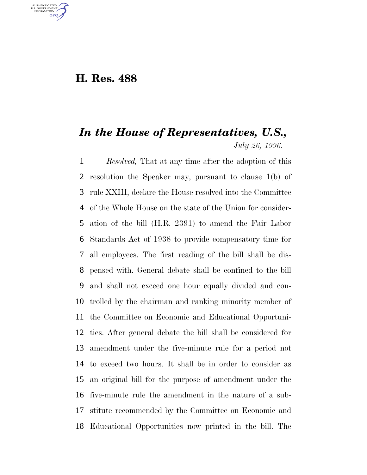## **H. Res. 488**

U.S. GOVERNMENT GPO

## *In the House of Representatives, U.S., July 26, 1996.*

 *Resolved,* That at any time after the adoption of this resolution the Speaker may, pursuant to clause 1(b) of rule XXIII, declare the House resolved into the Committee of the Whole House on the state of the Union for consider- ation of the bill (H.R. 2391) to amend the Fair Labor Standards Act of 1938 to provide compensatory time for all employees. The first reading of the bill shall be dis- pensed with. General debate shall be confined to the bill and shall not exceed one hour equally divided and con- trolled by the chairman and ranking minority member of the Committee on Economic and Educational Opportuni- ties. After general debate the bill shall be considered for amendment under the five-minute rule for a period not to exceed two hours. It shall be in order to consider as an original bill for the purpose of amendment under the five-minute rule the amendment in the nature of a sub- stitute recommended by the Committee on Economic and Educational Opportunities now printed in the bill. The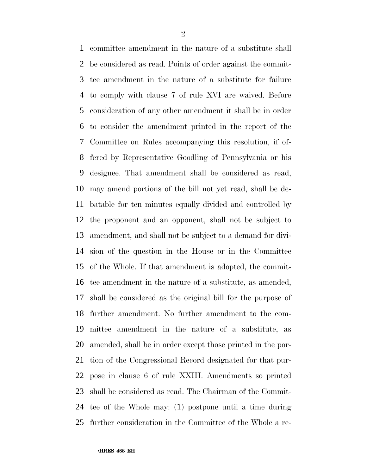committee amendment in the nature of a substitute shall be considered as read. Points of order against the commit- tee amendment in the nature of a substitute for failure to comply with clause 7 of rule XVI are waived. Before consideration of any other amendment it shall be in order to consider the amendment printed in the report of the Committee on Rules accompanying this resolution, if of- fered by Representative Goodling of Pennsylvania or his designee. That amendment shall be considered as read, may amend portions of the bill not yet read, shall be de- batable for ten minutes equally divided and controlled by the proponent and an opponent, shall not be subject to amendment, and shall not be subject to a demand for divi- sion of the question in the House or in the Committee of the Whole. If that amendment is adopted, the commit- tee amendment in the nature of a substitute, as amended, shall be considered as the original bill for the purpose of further amendment. No further amendment to the com- mittee amendment in the nature of a substitute, as amended, shall be in order except those printed in the por- tion of the Congressional Record designated for that pur- pose in clause 6 of rule XXIII. Amendments so printed shall be considered as read. The Chairman of the Commit- tee of the Whole may: (1) postpone until a time during further consideration in the Committee of the Whole a re-